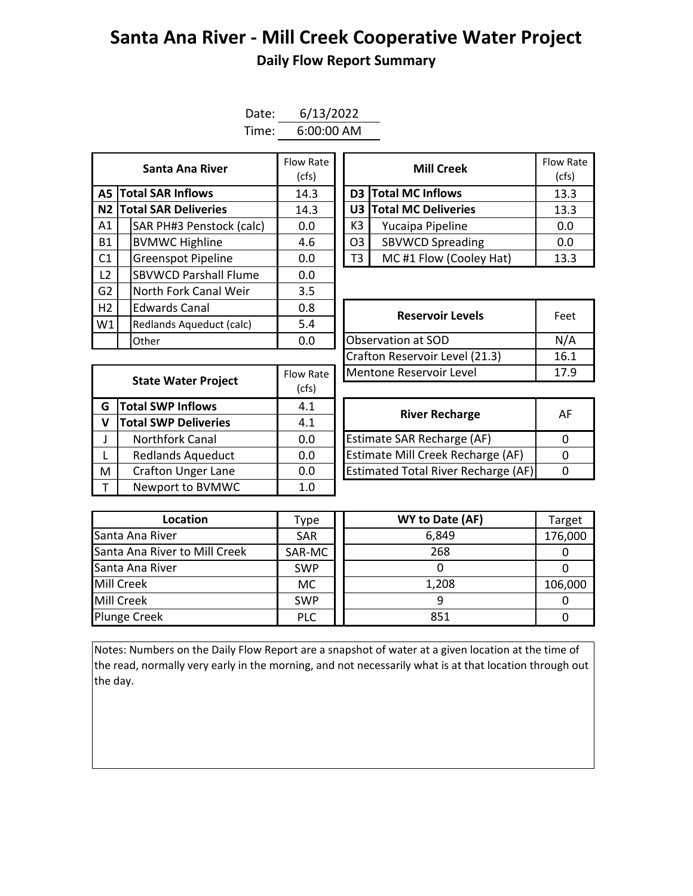## **Santa Ana River - Mill Creek Cooperative Water Project Daily Flow Report Summary**

| Date: | 6/13/2022    |
|-------|--------------|
| Time: | $6:00:00$ AM |

|                             |  | Flow Rate<br>(cfs)           |      | Flow Ra<br>(cfs)    |                         |      |
|-----------------------------|--|------------------------------|------|---------------------|-------------------------|------|
| <b>A5 Total SAR Inflows</b> |  | 14.3                         |      | D3 Total MC Inflows | 13.3                    |      |
|                             |  | N2 Total SAR Deliveries      | 14.3 |                     | U3 Total MC Deliveries  | 13.3 |
| A1                          |  | SAR PH#3 Penstock (calc)     | 0.0  | K3                  | Yucaipa Pipeline        | 0.0  |
| <b>B1</b>                   |  | <b>BVMWC Highline</b>        | 4.6  | O <sub>3</sub>      | <b>SBVWCD Spreading</b> | 0.0  |
| C <sub>1</sub>              |  | <b>Greenspot Pipeline</b>    | 0.0  | T3                  | MC#1 Flow (Cooley Hat)  | 13.3 |
| L <sub>2</sub>              |  | <b>SBVWCD Parshall Flume</b> | 0.0  |                     |                         |      |
| G2                          |  | North Fork Canal Weir        | 3.5  |                     |                         |      |
| H2                          |  | <b>Edwards Canal</b>         | 0.8  |                     | <b>Reservoir Levels</b> | Feet |
| W1                          |  | Redlands Aqueduct (calc)     | 5.4  |                     |                         |      |
|                             |  | Other                        | 0.0  |                     | Observation at SOD      | N/A  |

| Santa Ana River         | Flow Rate<br>(cfs) |    | <b>Mill Creek</b>       | <b>Flow Rate</b><br>(cfs) |
|-------------------------|--------------------|----|-------------------------|---------------------------|
| <b>I SAR Inflows</b>    | 14.3               |    | D3 Total MC Inflows     | 13.3                      |
| <b>I SAR Deliveries</b> | 14.3               |    | U3 Total MC Deliveries  | 13.3                      |
| AR PH#3 Penstock (calc) | 0.0                | K3 | Yucaipa Pipeline        | 0.0                       |
| /MWC Highline           | 4.6                | O3 | <b>SBVWCD Spreading</b> | 0.0                       |
| reenspot Pipeline       | 0.0                | T3 | MC#1 Flow (Cooley Hat)  | 13.3                      |

|                            |                             |                    | Crafton Reservoir Level (21.3)             |          |  |  |  |
|----------------------------|-----------------------------|--------------------|--------------------------------------------|----------|--|--|--|
| <b>State Water Project</b> |                             | Flow Rate<br>(cfs) | Mentone Reservoir Level                    | 17       |  |  |  |
| G                          | <b>Total SWP Inflows</b>    | 4.1                |                                            |          |  |  |  |
| $\mathsf{V}$               | <b>Total SWP Deliveries</b> | 4.1                | <b>River Recharge</b>                      |          |  |  |  |
| $\mathsf{J}$               | <b>Northfork Canal</b>      | 0.0                | <b>Estimate SAR Recharge (AF)</b>          | 0        |  |  |  |
| $\mathsf{L}$               | <b>Redlands Aqueduct</b>    | 0.0                | <b>Estimate Mill Creek Recharge (AF)</b>   | $\Omega$ |  |  |  |
| M                          | <b>Crafton Unger Lane</b>   | 0.0                | <b>Estimated Total River Recharge (AF)</b> | 0        |  |  |  |
| $\mathsf{T}$               | Newport to BVMWC            | 1.0                |                                            |          |  |  |  |

| <b>Edwards Canal</b>            | 0.8                     | <b>Reservoir Levels</b>        | Feet |  |
|---------------------------------|-------------------------|--------------------------------|------|--|
| 5.4<br>Redlands Aqueduct (calc) |                         |                                |      |  |
| Other                           | 0.0                     | Observation at SOD             | N/A  |  |
|                                 |                         | Crafton Reservoir Level (21.3) | 16.1 |  |
|                                 | Flow Rate               | Mentone Reservoir Level        | 17.9 |  |
| <b>State Water Project</b>      | $\cdot$ $\cdot$ $\cdot$ |                                |      |  |

| <b>River Recharge</b>                      | AF |
|--------------------------------------------|----|
| <b>Estimate SAR Recharge (AF)</b>          |    |
| Estimate Mill Creek Recharge (AF)          |    |
| <b>Estimated Total River Recharge (AF)</b> |    |

| Location                      | Type       | WY to Date (AF) | Target  |
|-------------------------------|------------|-----------------|---------|
| Santa Ana River               | <b>SAR</b> | 6,849           | 176,000 |
| Santa Ana River to Mill Creek | SAR-MC     | 268             |         |
| Santa Ana River               | <b>SWP</b> |                 |         |
| Mill Creek                    | МC         | 1,208           | 106,000 |
| Mill Creek                    | <b>SWP</b> |                 |         |
| <b>Plunge Creek</b>           | <b>PLC</b> | 851             |         |

Notes: Numbers on the Daily Flow Report are a snapshot of water at a given location at the time of the read, normally very early in the morning, and not necessarily what is at that location through out the day.